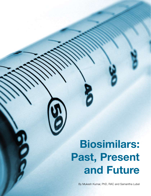# **Biosimilars: Past, Present and Future**

By Mukesh Kumar, PhD, RAC and Samantha Lubel

20 April 2010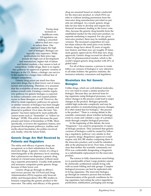Facing steep increases in healthcare costs, US legislators are making a concerted effort to find new ways to reduce them. One approach targets the high cost of biologics. Biologics are typically very expensive. While justifications for their price tags include the high cost of development and manufacture, higher risk of failure and limited markets, a key reason is lack of competition. Unlike drugs, there is no regula tory pathway for approval of generic versions of biologics in the US. Hence, a biologic can survive in the market for a longer time without fear of cheaper competitors.

Generic drug prices are much less than innovator drugs due to their lower cost of manufacture and marketing. Therefore, it is assumed that the availability of more generic drugs can reduce overall costs. Creating a similar regulatory pathway for generic biologics is expected to reduce consumer costs and expand patient access to these therapies as well. However, the effort to create regulatory pathways for generic or similar versions of biologics has been fraught with one issue after another, from scientific and financial to political. Over time, the term "biogeneric" has been replaced by more politically correct terms such as "biosimilar" or "follow-on biologic" (FOB). This article discusses the past, present and future of biosimilars or FOBs. More specifically, it reviews the regulatory history, new proposed development pathways, realities and myths about biosimilars, the politics involved and, finally, what the future holds.

# Generic Drugs Are Well Received by Patients and Regulators

The safety and efficacy of generic drugs are recognized, as is their substitution for their innovator drugs. A generic version of a drug is interchangeable at the pharmacy level, meaning that a pharmacist can dispense a generic drug instead of a brand-name product without needing a separate prescription. Usually, both patients and insurance companies prefer generic drugs because of their lower cost.

Generic drugs go through an abbreviated review process: the US Food and Drug Administration (FDA) requires only bioavailability and bioequivalence (BA/BE) studies in humans comparing the generic product to the innovator. The safety and efficacy of the generic drug are assumed based on studies conducted for the innovator product, to which FDA can refer to without needing permission from the innovator drug manufacturer provided no patents are infringed. As a result, generic drugs take far less time to develop and require less financial investment, leading to the lower costs. Also, because the generic drug benefits from the established market for the innovator product, no separate marketing is required. For any given innovator product, there may be multiple generic versions. The increased competition for market share reduces the retail price even further. Generic drugs have about 25 years of regulatory history and there now are roughly 25 times more generic approvals by FDA than new drug approvals. Generic drugs account for about 65% of the US pharmaceutical market, which is the world's largest generic drug market with 45% of global sales. 1

For all of these reasons, a process to create follow-on versions of biologics is very attractive to all stake holders: the generics industry, the insurance industry, consumers and legislators.

## Biosimilars Are Not Generic **Biologics**

Unlike drugs, which are well-defined molecules, it is very hard to create a similar product for biologics. Because they are derived from liv ing organisms using biological processes, very minor changes in the process could lead to major changes in the product. Biologics generally exhibit high molecular complexity and may be quite sensitive to manufacturing process changes. It is often stated that for biologics, "the process is the product." There is a strong debate in the scientific community about whether technology exists to create and validate a copy of a product made through complex biological processes.

In the beginning of this debate, the term "biogeneric" was used by proponents of copies of biologic products. They assumed that generic versions of biologics could be created by following a regulatory pathway very similar to that for generic drugs. Biogenerics approval would require only BA/BE studies comparing them to the innovator product, and would be substitutable at the pharmacist level. Over time, it became clear that neither the scientific community nor FDA was comfortable designating a biogeneric as a substitutable replacement for the innovator product.

The science to fully characterize most biolog ics is questionable at best. Large proteins cannot be chemically synthesized outside living cells with accurate folding and side groups. Complex biological processes can best be replicated only in living organisms. The innovator biologics go through an extensive process that includes characterization of the growth conditions for liv ing organisms, harvesting the active ingredient, purification, stabilization, packaging and storage.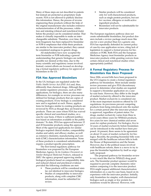Many of these steps are not described in patents but instead are protected as proprietary trade secrets. FDA is not allowed to publicly disclose this information. Hence, the process of reverse engineering these products without the help of the original manufacturer also includes extensive recharacterization of all the processes, valida tion and retesting (clinical and nonclinical trials) before the product can be considered similar. That makes it virtually impossible to make an inter changeable substitute. Therefore, over time, the term biogeneric has been replaced by biosimilar or FOB to emphasize that while these products are similar to the innovator product, they cannot be considered analogous to generic drugs.

All stakeholders have now accepted the term biosimilar or FOB indicating a general understanding that generic biologics are neither possible nor desired at this time, due to the many scientific and regulatory issues involved. Instead, current efforts are focused on developing a formal regulatory pathway for approval of biosimilars in the US.

#### FDA Has Approved Biosimilars

In the US, biologics are regulated under the *Public Health Service* Act (*PHS Act*) and, thus, differently than chemical drugs. Although there are similar regulatory processes, such as IND applications, for biologics, there are also many differences, for example no review processes are defined for biologic products that are copies of existing products. Every biologic is considered new and is regulated as such. Hence, applications for biologics similar to existing products are reviewed by FDA as though they are brand-new products. There are cases where FDA has waived specific clinical and nonclinical studies, on a case-by-case basis, if there is sufficient justification based on information available in the public domain. 2 To date, FDA has approved between 15 and 20 biosimilar products using this approach. 2 Most of the approved applications for similar biologics required clinical studies, comparability studies and safety and efficacy studies, as well as extensive chemistry, manufacturing and controls (CMC) characterization information. None of these products is considered substitutable; all require a product-specific prescription.

The first formal regulatory pathway for biosimilars was proposed by the European Medicines Agency. In its *Guidance Document on Similar Biological Medicinal Products*, released in 2005, 3 the agency proposed approving similar biological products based on comparability data and reduced clinical and preclinical evidence provided the following conditions are met:

- These products will be considered similar, not identical to innovator biologics.
- Studies of comparability to innovator products, along with complete CMC information, must be submitted for review.
- Similar products will be considered only for well-characterized products, such as single protein products, but not for vaccines, allergens or multi-active ingredient products.
- Biosimilars will not be substitutable for innovator products.

The European regulatory pathway does not create substitutable biosimilars, but product dossiers include a review package much more like one for a new product than for a generic one. FDA has repeatedly defended its current policy of case-by-case application review, citing lack of legislation to support a formal process for biosimilars or FOBs. Both FDA and the European Medicines Agency treat biosimilar products as innovator products while granting waivers from certain clinical and nonclinical studies when appropriately justified.

## A Formal Regulatory Process for Biosimilars Has Been Proposed

Since 2006, several bills have been proposed in the US Congress to create a formal regulatory pathway for biosimilars. Most include similar review processes and give FDA discretionary power to determine what studies are required to support a biosimilar application on a caseby-case basis. However, they differ in the length of market exclusivity offered to the innovator product. Market exclusivity is considered one of the most important incentives offered by US regulations: its provisions prevent competing products from being introduced onto the market for a certain period after the innovator product is approved, regardless of patent status. For drugs, market exclusivity varies from three to seven years (three years for 505(b)(2) products, five years for new chemical entities and seven years for orphan products). For biologics, five to 14 years of market exclusivity before biosimilars can be introduced in the market have been proposed. At present, there seems to be agreement on about 12 years of market exclusivity for biologics. Recently, the pending biosimilar bills were merged with the healthcare reform bills in both the House of Representatives and the Senate. However, due to the political issues involved with healthcare reform, there is a move to try to pass the biosimilar legislation by itself as originally proposed.

The proposed pathway for biosimilar review is very much like that for 505(b)(2) drug products. The biosimilar product sponsor would be required to provide complete chemistry information comparing it to the innovator product. FDA might request additional characterization information on a case-by-case basis, based on its experience with the innovator product. Initially, only biosimilars for simpler, well-characterized biologics such as single or few protein formulations would be allowed. However, with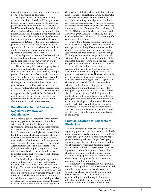increasing regulatory experience, more-complex products might also be pursued.

The sponsor for a given biosimilar product would be allowed to claim FDA's previous findings of safety and efficacy for the reference product; however, in addition to BA/BE studies, FDA would mostly likely require additional clinical and nonclinical studies in support of the biosimilar. Just like a 505(b)(2) drug product, the biosimilar could claim additional benefits over the innovator product and would not be considered substitutable for the innovator reference product. For this reason, the biosimilar product sponsor would have to launch an independent marketing campaign to encourage doctors to specifically prescribe the biosimilar.

As with generic drugs, the first biosimilar to be approved would have market exclusivity (currently proposed to be about a year) over other biosimilars for the same reference product.

There are many intellectual property issues concerning biologics that would affect biosimilars. Most biologics are covered by multiple patents. A sponsor is unable to begin developing a biosimilar product until all patents on the innovator product have expired. Additional challenges are introduced if the manufacturing processes are covered by trade secrets or involve proprietary information. If a trade secret is used in a process, FDA can never use that information to approve another product. So, the biosimilar developers would have to develop their own processes without the benefit of help from FDA about innovator product trade secrets.

## Benefits of a Formal Biosimilar Regulatory Pathway are **Questionable**

While there is general agreement that a formal regulatory pathway for creating biosimilars will eliminate existing legal ambiguity for sponsors, the tangible benefits of these products to patients and sponsors are questionable at best. For consumers and legislators, biosimilars hold the promise of a lower-cost alternative to expensive biologics. There have been several analyses by academic centers, industry groups and government groups such as the Government Accountability Office and the Federal Trade Commission indicating varying financial benefits of biosimilars in reducing healthcare costs. Estimated cost reductions range from \$4 billion to \$70 billion over 10 years.

For the developers, the regulatory require ments for biosimilars could vary extensively based on FDA's experience with the innovator biologic. This means that the process of creating a biosimilar will most certainly be much longer and more expensive than for a generic drug. It would involve a much larger investment of time and financial resources and carry a much higher risk of failure than for conventional generic drugs. A manufacturer would not only require expensive

chemical and biological characterization but also need to conduct several long clinical and nonclin ical studies just like those for new products. The need for a marketing campaign would add to the cost of doing business. Hence, the cost to patients is expected to be not much lower than that of the innovator product. Estimates of cost reduction of 10% to 20% for biosimilars have been suggested. However, given the high cost of many biologics, even a modest cost reduction could mean signifi cant savings for patients.

Due to the extensive amount of time and huge investment required to develop biosimilars, only sponsors with significant resources will be able to create such products, leading to much less competition than is usual for generic drugs. Typically, several generic drugs are introduced within a short time after patent expiration of the innovator product, leading to a price depression of up to 80% compared to the innovator product.

For patients, besides the modest price reduction, the major benefit seems to be the availability of alternate therapies leading to greater access to treatments. However, due to the overall hurdles in developing biosimilars, it is expected that only biologics with a large market share will be pursued. This has been evident with several biosimilars being pursued for anemia, interferons and influenza vaccines. Many biologics target indications with smaller market size, i.e., fewer patients. Such biologics would not be attractive to biosimilar sponsors, thereby giving the innovator products unlimited market exclusivity for all practical purposes. This long market exclusivity would allow the innovator companies to develop a much stronger brand and their own improvements to the initial product, thereby constantly maintaining an advantage in the market.

## Practical Strategy for Sponsors of **Biosimilars**

Due to the complexity of current and proposed regulatory processes, sponsors interested in devel oping biosimilars need a comprehensive strategy. A good strategy would include identifying appro priate reference products to target, developing regulatory expertise specifically in understanding the FDA review process and developing scien tific expertise in the characterization of the active ingredients and the final product. Companies should be prepared for a higher risk of failure to get marketing approval, in addition to longer development time, greater financial investment and large, complex clinical trials.

A simpler, well-characterized biologic with one or a few ingredients and a well-characterized manufacturing process that can be compared to that of an already approved biologic would be the best candidate. The development strategy, including the studies required, resource allocation and CMC considerations, should be carefully planned. FDA discussions are very